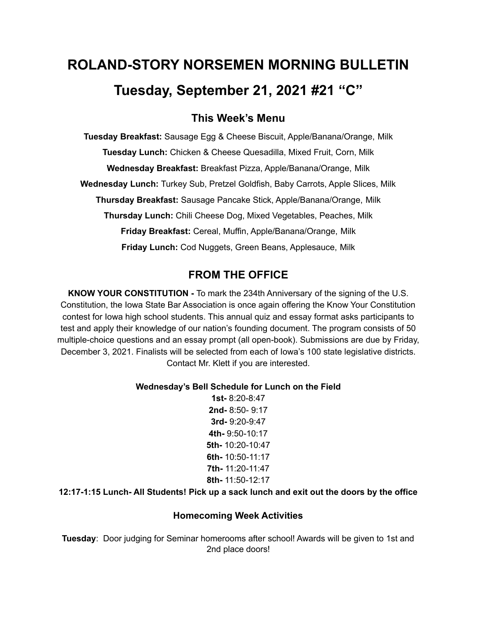# **ROLAND-STORY NORSEMEN MORNING BULLETIN Tuesday, September 21, 2021 #21 "C"**

# **This Week's Menu**

**Tuesday Breakfast:** Sausage Egg & Cheese Biscuit, Apple/Banana/Orange, Milk **Tuesday Lunch:** Chicken & Cheese Quesadilla, Mixed Fruit, Corn, Milk **Wednesday Breakfast:** Breakfast Pizza, Apple/Banana/Orange, Milk **Wednesday Lunch:** Turkey Sub, Pretzel Goldfish, Baby Carrots, Apple Slices, Milk **Thursday Breakfast:** Sausage Pancake Stick, Apple/Banana/Orange, Milk **Thursday Lunch:** Chili Cheese Dog, Mixed Vegetables, Peaches, Milk **Friday Breakfast:** Cereal, Muffin, Apple/Banana/Orange, Milk **Friday Lunch:** Cod Nuggets, Green Beans, Applesauce, Milk

# **FROM THE OFFICE**

**KNOW YOUR CONSTITUTION -** To mark the 234th Anniversary of the signing of the U.S. Constitution, the Iowa State Bar Association is once again offering the Know Your Constitution contest for Iowa high school students. This annual quiz and essay format asks participants to test and apply their knowledge of our nation's founding document. The program consists of 50 multiple-choice questions and an essay prompt (all open-book). Submissions are due by Friday, December 3, 2021. Finalists will be selected from each of Iowa's 100 state legislative districts. Contact Mr. Klett if you are interested.

#### **Wednesday's Bell Schedule for Lunch on the Field**

**1st-** 8:20-8:47 **2nd-** 8:50- 9:17 **3rd-** 9:20-9:47 **4th-** 9:50-10:17 **5th-** 10:20-10:47 **6th-** 10:50-11:17 **7th-** 11:20-11:47 **8th-** 11:50-12:17

## **12:17-1:15 Lunch- All Students! Pick up a sack lunch and exit out the doors by the office**

## **Homecoming Week Activities**

**Tuesday**: Door judging for Seminar homerooms after school! Awards will be given to 1st and 2nd place doors!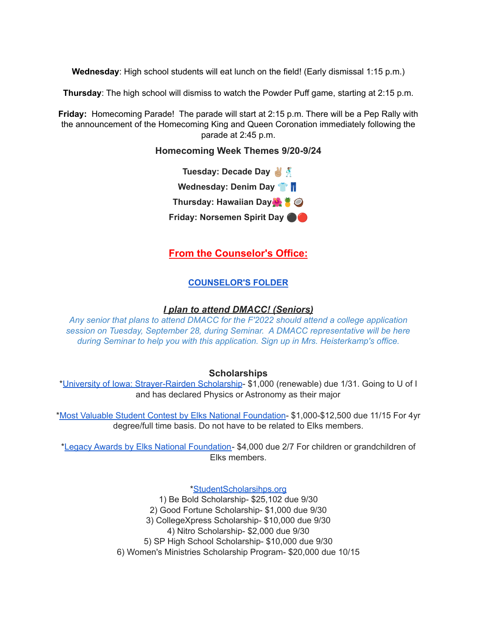**Wednesday**: High school students will eat lunch on the field! (Early dismissal 1:15 p.m.)

**Thursday**: The high school will dismiss to watch the Powder Puff game, starting at 2:15 p.m.

**Friday:** Homecoming Parade! The parade will start at 2:15 p.m. There will be a Pep Rally with the announcement of the Homecoming King and Queen Coronation immediately following the parade at 2:45 p.m.

#### **Homecoming Week Themes 9/20-9/24**



## **From the Counselor's Office:**

#### **[COUNSELOR'S](https://docs.google.com/document/d/1vmwczNPbDzXe9vFaG5LJMQ7NYDv-i4oQJHybqA65TUc/edit?usp=sharing) FOLDER**

#### *I plan to attend DMACC! (Seniors)*

*Any senior that plans to attend DMACC for the F'2022 should attend a college application session on Tuesday, September 28, during Seminar. A DMACC representative will be here during Seminar to help you with this application. Sign up in Mrs. Heisterkamp's office.*

#### **Scholarships**

\*University of Iowa: [Strayer-Rairden](https://drive.google.com/file/d/19dd2KrYVSWYKX2eleClYPvARc5_M10rR/view?usp=sharing) Scholarship- \$1,000 (renewable) due 1/31. Going to U of I and has declared Physics or Astronomy as their major

\*Most Valuable Student Contest by Elks National [Foundation](https://www.elks.org/scholars/scholarships/mvs.cfm)- \$1,000-\$12,500 due 11/15 For 4yr degree/full time basis. Do not have to be related to Elks members.

\*Legacy Awards by Elks National [Foundation-](https://www.elks.org/scholars/scholarships/Legacy.cfm) \$4,000 due 2/7 For children or grandchildren of Elks members.

[\\*StudentScholarsihps.org](https://drive.google.com/file/d/15_QGMs4o4nf-uHxHY58Ue31_w-7Qw42k/view?usp=sharing)

1) Be Bold Scholarship- \$25,102 due 9/30 2) Good Fortune Scholarship- \$1,000 due 9/30 3) CollegeXpress Scholarship- \$10,000 due 9/30 4) Nitro Scholarship- \$2,000 due 9/30 5) SP High School Scholarship- \$10,000 due 9/30 6) Women's Ministries Scholarship Program- \$20,000 due 10/15